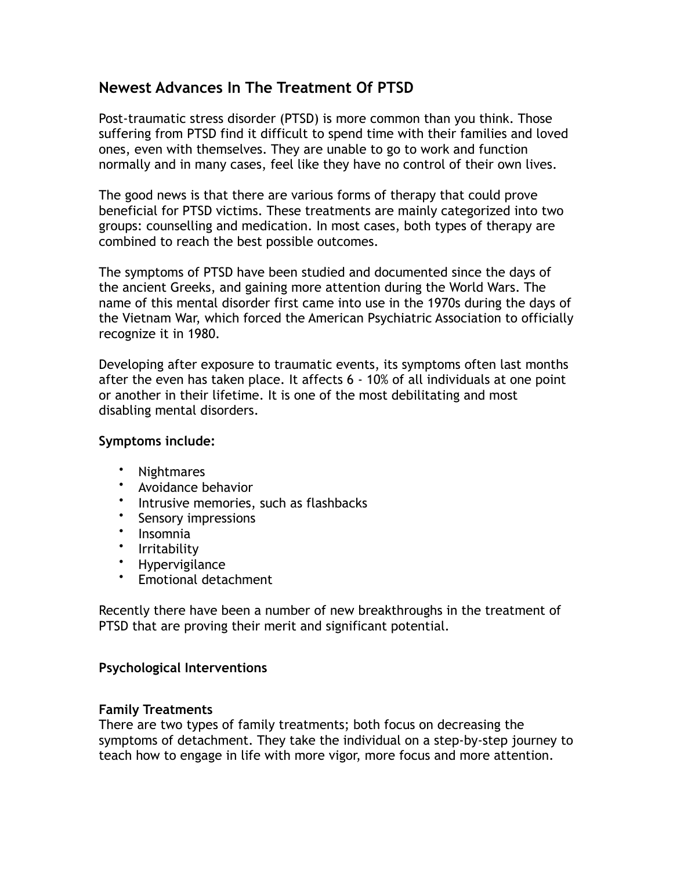# **Newest Advances In The Treatment Of PTSD**

Post-traumatic stress disorder (PTSD) is more common than you think. Those suffering from PTSD find it difficult to spend time with their families and loved ones, even with themselves. They are unable to go to work and function normally and in many cases, feel like they have no control of their own lives.

The good news is that there are various forms of therapy that could prove beneficial for PTSD victims. These treatments are mainly categorized into two groups: counselling and medication. In most cases, both types of therapy are combined to reach the best possible outcomes.

The symptoms of PTSD have been studied and documented since the days of the ancient Greeks, and gaining more attention during the World Wars. The name of this mental disorder first came into use in the 1970s during the days of the Vietnam War, which forced the American Psychiatric Association to officially recognize it in 1980.

Developing after exposure to traumatic events, its symptoms often last months after the even has taken place. It affects 6 - 10% of all individuals at one point or another in their lifetime. It is one of the most debilitating and most disabling mental disorders.

### **Symptoms include:**

- Nightmares
- Avoidance behavior
- Intrusive memories, such as flashbacks
- Sensory impressions
- Insomnia
- Irritability<br>• Hynervigila
- Hypervigilance
- Emotional detachment

Recently there have been a number of new breakthroughs in the treatment of PTSD that are proving their merit and significant potential.

### **Psychological Interventions**

### **Family Treatments**

There are two types of family treatments; both focus on decreasing the symptoms of detachment. They take the individual on a step-by-step journey to teach how to engage in life with more vigor, more focus and more attention.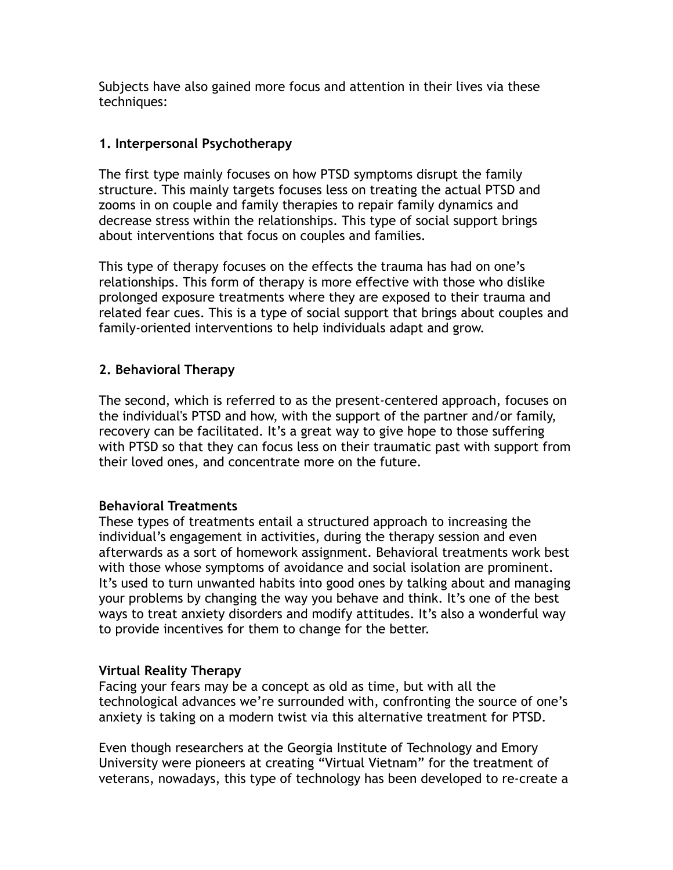Subjects have also gained more focus and attention in their lives via these techniques:

## **1. Interpersonal Psychotherapy**

The first type mainly focuses on how PTSD symptoms disrupt the family structure. This mainly targets focuses less on treating the actual PTSD and zooms in on couple and family therapies to repair family dynamics and decrease stress within the relationships. This type of social support brings about interventions that focus on couples and families.

This type of therapy focuses on the effects the trauma has had on one's relationships. This form of therapy is more effective with those who dislike prolonged exposure treatments where they are exposed to their trauma and related fear cues. This is a type of social support that brings about couples and family-oriented interventions to help individuals adapt and grow.

## **2. Behavioral Therapy**

The second, which is referred to as the present-centered approach, focuses on the individual's PTSD and how, with the support of the partner and/or family, recovery can be facilitated. It's a great way to give hope to those suffering with PTSD so that they can focus less on their traumatic past with support from their loved ones, and concentrate more on the future.

## **Behavioral Treatments**

These types of treatments entail a structured approach to increasing the individual's engagement in activities, during the therapy session and even afterwards as a sort of homework assignment. Behavioral treatments work best with those whose symptoms of avoidance and social isolation are prominent. It's used to turn unwanted habits into good ones by talking about and managing your problems by changing the way you behave and think. It's one of the best ways to treat anxiety disorders and modify attitudes. It's also a wonderful way to provide incentives for them to change for the better.

### **Virtual Reality Therapy**

Facing your fears may be a concept as old as time, but with all the technological advances we're surrounded with, confronting the source of one's anxiety is taking on a modern twist via this alternative treatment for PTSD.

Even though researchers at the Georgia Institute of Technology and Emory University were pioneers at creating "Virtual Vietnam" for the treatment of veterans, nowadays, this type of technology has been developed to re-create a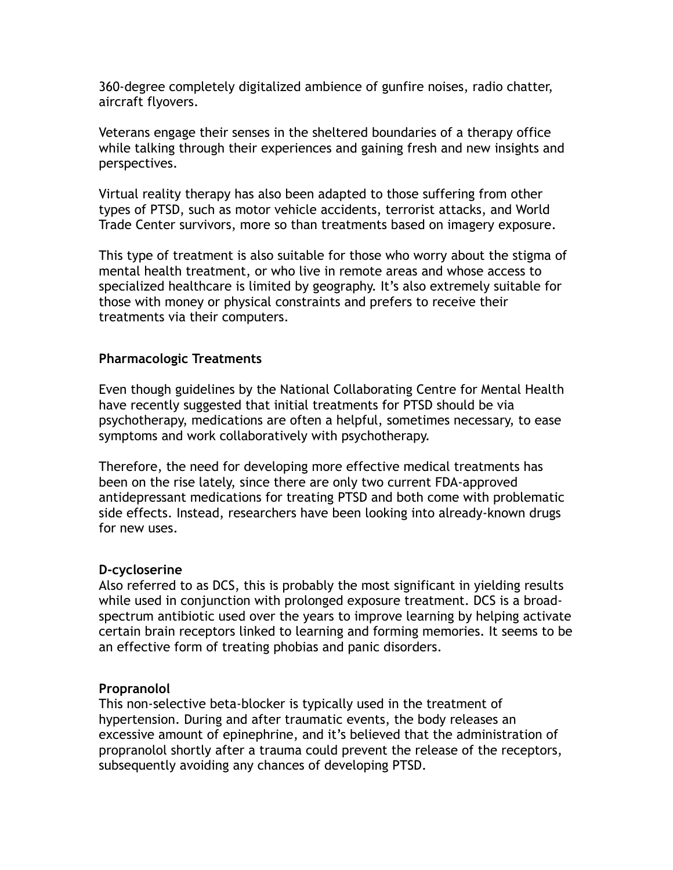360-degree completely digitalized ambience of gunfire noises, radio chatter, aircraft flyovers.

Veterans engage their senses in the sheltered boundaries of a therapy office while talking through their experiences and gaining fresh and new insights and perspectives.

Virtual reality therapy has also been adapted to those suffering from other types of PTSD, such as motor vehicle accidents, terrorist attacks, and World Trade Center survivors, more so than treatments based on imagery exposure.

This type of treatment is also suitable for those who worry about the stigma of mental health treatment, or who live in remote areas and whose access to specialized healthcare is limited by geography. It's also extremely suitable for those with money or physical constraints and prefers to receive their treatments via their computers.

### **Pharmacologic Treatments**

Even though guidelines by the National Collaborating Centre for Mental Health have recently suggested that initial treatments for PTSD should be via psychotherapy, medications are often a helpful, sometimes necessary, to ease symptoms and work collaboratively with psychotherapy.

Therefore, the need for developing more effective medical treatments has been on the rise lately, since there are only two current FDA-approved antidepressant medications for treating PTSD and both come with problematic side effects. Instead, researchers have been looking into already-known drugs for new uses.

### **D-cycloserine**

Also referred to as DCS, this is probably the most significant in yielding results while used in conjunction with prolonged exposure treatment. DCS is a broadspectrum antibiotic used over the years to improve learning by helping activate certain brain receptors linked to learning and forming memories. It seems to be an effective form of treating phobias and panic disorders.

### **Propranolol**

This non-selective beta-blocker is typically used in the treatment of hypertension. During and after traumatic events, the body releases an excessive amount of epinephrine, and it's believed that the administration of propranolol shortly after a trauma could prevent the release of the receptors, subsequently avoiding any chances of developing PTSD.